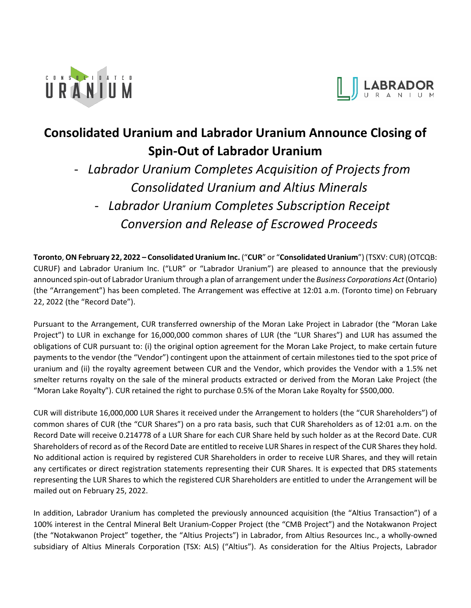



# **Consolidated Uranium and Labrador Uranium Announce Closing of Spin-Out of Labrador Uranium**

- *Labrador Uranium Completes Acquisition of Projects from Consolidated Uranium and Altius Minerals*  - *Labrador Uranium Completes Subscription Receipt* 

*Conversion and Release of Escrowed Proceeds* 

**Toronto**, **ON February 22, 2022 – Consolidated Uranium Inc.** ("**CUR**" or "**Consolidated Uranium**") (TSXV: CUR) (OTCQB: CURUF) and Labrador Uranium Inc. ("LUR" or "Labrador Uranium") are pleased to announce that the previously announced spin-out of Labrador Uranium through a plan of arrangement under the *Business Corporations Act*(Ontario) (the "Arrangement") has been completed. The Arrangement was effective at 12:01 a.m. (Toronto time) on February 22, 2022 (the "Record Date").

Pursuant to the Arrangement, CUR transferred ownership of the Moran Lake Project in Labrador (the "Moran Lake Project") to LUR in exchange for 16,000,000 common shares of LUR (the "LUR Shares") and LUR has assumed the obligations of CUR pursuant to: (i) the original option agreement for the Moran Lake Project, to make certain future payments to the vendor (the "Vendor") contingent upon the attainment of certain milestones tied to the spot price of uranium and (ii) the royalty agreement between CUR and the Vendor, which provides the Vendor with a 1.5% net smelter returns royalty on the sale of the mineral products extracted or derived from the Moran Lake Project (the "Moran Lake Royalty"). CUR retained the right to purchase 0.5% of the Moran Lake Royalty for \$500,000.

CUR will distribute 16,000,000 LUR Shares it received under the Arrangement to holders (the "CUR Shareholders") of common shares of CUR (the "CUR Shares") on a pro rata basis, such that CUR Shareholders as of 12:01 a.m. on the Record Date will receive 0.214778 of a LUR Share for each CUR Share held by such holder as at the Record Date. CUR Shareholders of record as of the Record Date are entitled to receive LUR Shares in respect of the CUR Shares they hold. No additional action is required by registered CUR Shareholders in order to receive LUR Shares, and they will retain any certificates or direct registration statements representing their CUR Shares. It is expected that DRS statements representing the LUR Shares to which the registered CUR Shareholders are entitled to under the Arrangement will be mailed out on February 25, 2022.

In addition, Labrador Uranium has completed the previously announced acquisition (the "Altius Transaction") of a 100% interest in the Central Mineral Belt Uranium-Copper Project (the "CMB Project") and the Notakwanon Project (the "Notakwanon Project" together, the "Altius Projects") in Labrador, from Altius Resources Inc., a wholly-owned subsidiary of Altius Minerals Corporation (TSX: ALS) ("Altius"). As consideration for the Altius Projects, Labrador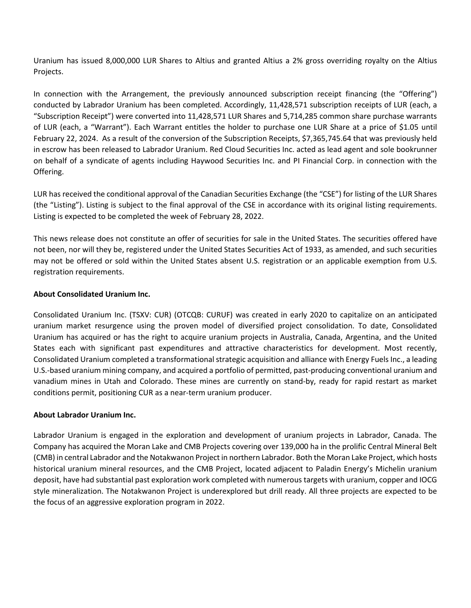Uranium has issued 8,000,000 LUR Shares to Altius and granted Altius a 2% gross overriding royalty on the Altius Projects.

In connection with the Arrangement, the previously announced subscription receipt financing (the "Offering") conducted by Labrador Uranium has been completed. Accordingly, 11,428,571 subscription receipts of LUR (each, a "Subscription Receipt") were converted into 11,428,571 LUR Shares and 5,714,285 common share purchase warrants of LUR (each, a "Warrant"). Each Warrant entitles the holder to purchase one LUR Share at a price of \$1.05 until February 22, 2024. As a result of the conversion of the Subscription Receipts, \$7,365,745.64 that was previously held in escrow has been released to Labrador Uranium. Red Cloud Securities Inc. acted as lead agent and sole bookrunner on behalf of a syndicate of agents including Haywood Securities Inc. and PI Financial Corp. in connection with the Offering.

LUR has received the conditional approval of the Canadian Securities Exchange (the "CSE") for listing of the LUR Shares (the "Listing"). Listing is subject to the final approval of the CSE in accordance with its original listing requirements. Listing is expected to be completed the week of February 28, 2022.

This news release does not constitute an offer of securities for sale in the United States. The securities offered have not been, nor will they be, registered under the United States Securities Act of 1933, as amended, and such securities may not be offered or sold within the United States absent U.S. registration or an applicable exemption from U.S. registration requirements.

## **About Consolidated Uranium Inc.**

Consolidated Uranium Inc. (TSXV: CUR) (OTCQB: CURUF) was created in early 2020 to capitalize on an anticipated uranium market resurgence using the proven model of diversified project consolidation. To date, Consolidated Uranium has acquired or has the right to acquire uranium projects in Australia, Canada, Argentina, and the United States each with significant past expenditures and attractive characteristics for development. Most recently, Consolidated Uranium completed a transformational strategic acquisition and alliance with Energy Fuels Inc., a leading U.S.-based uranium mining company, and acquired a portfolio of permitted, past-producing conventional uranium and vanadium mines in Utah and Colorado. These mines are currently on stand-by, ready for rapid restart as market conditions permit, positioning CUR as a near-term uranium producer.

## **About Labrador Uranium Inc.**

Labrador Uranium is engaged in the exploration and development of uranium projects in Labrador, Canada. The Company has acquired the Moran Lake and CMB Projects covering over 139,000 ha in the prolific Central Mineral Belt (CMB) in central Labrador and the Notakwanon Project in northern Labrador. Both the Moran Lake Project, which hosts historical uranium mineral resources, and the CMB Project, located adjacent to Paladin Energy's Michelin uranium deposit, have had substantial past exploration work completed with numerous targets with uranium, copper and IOCG style mineralization. The Notakwanon Project is underexplored but drill ready. All three projects are expected to be the focus of an aggressive exploration program in 2022.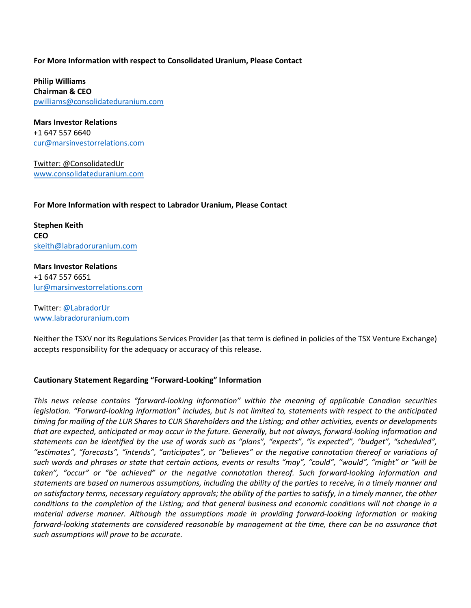#### **For More Information with respect to Consolidated Uranium, Please Contact**

**Philip Williams Chairman & CEO** [pwilliams@consolidateduranium.com](mailto:pwilliams@consolidateduranium.com)

**Mars Investor Relations** +1 647 557 6640 [cur@marsinvestorrelations.com](mailto:cur@marsinvestorrelations.com)

Twitter: @ConsolidatedUr [www.consolidateduranium.com](http://www.consolidateduranium.com/)

### **For More Information with respect to Labrador Uranium, Please Contact**

**Stephen Keith CEO** [skeith@labradoruranium.com](mailto:skeith@labradoruranium.com)

**Mars Investor Relations** +1 647 557 6651 [lur@marsinvestorrelations.com](mailto:lur@marsinvestorrelations.com)

Twitter: [@LabradorUr](https://protect-eu.mimecast.com/s/VLYSC5gnhgQlxKUzt0nz?domain=twitter.com) [www.labradoruranium.com](http://www.labradoruranium.com/)

Neither the TSXV nor its Regulations Services Provider (as that term is defined in policies of the TSX Venture Exchange) accepts responsibility for the adequacy or accuracy of this release.

## **Cautionary Statement Regarding "Forward-Looking" Information**

*This news release contains "forward-looking information" within the meaning of applicable Canadian securities legislation. "Forward-looking information" includes, but is not limited to, statements with respect to the anticipated timing for mailing of the LUR Shares to CUR Shareholders and the Listing; and other activities, events or developments that are expected, anticipated or may occur in the future. Generally, but not always, forward-looking information and statements can be identified by the use of words such as "plans", "expects", "is expected", "budget", "scheduled", "estimates", "forecasts", "intends", "anticipates", or "believes" or the negative connotation thereof or variations of such words and phrases or state that certain actions, events or results "may", "could", "would", "might" or "will be taken", "occur" or "be achieved" or the negative connotation thereof. Such forward-looking information and statements are based on numerous assumptions, including the ability of the parties to receive, in a timely manner and on satisfactory terms, necessary regulatory approvals; the ability of the parties to satisfy, in a timely manner, the other conditions to the completion of the Listing; and that general business and economic conditions will not change in a material adverse manner. Although the assumptions made in providing forward-looking information or making forward-looking statements are considered reasonable by management at the time, there can be no assurance that such assumptions will prove to be accurate.*